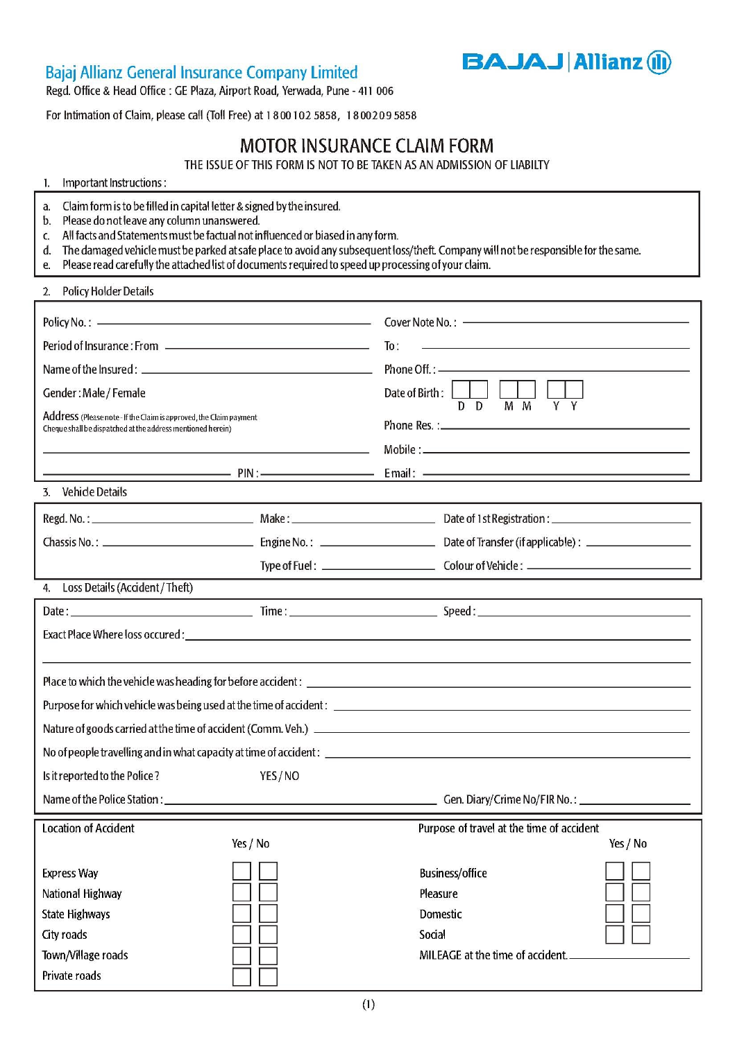# Bajaj Allianz General Insurance Company Limited

**BAJAJ Allianz (il)** 

Regd. Office & Head Office : GE Plaza, Airport Road, Yerwada, Pune - 411 006

For Intimation of Claim, please call (Toll Free) at 1800102 5858, 1800209 5858

# **MOTOR INSURANCE CLAIM FORM**

THE ISSUE OF THIS FORM IS NOT TO BE TAKEN AS AN ADMISSION OF LIABILTY

#### Important Instructions :  $\mathbf{1}$

- Claim form is to be filled in capital letter & signed by the insured. a.
- Please do not leave any column unanswered.  $b.$
- All facts and Statements must be factual not influenced or biased in any form. C.
- The damaged vehicle must be parked at safe place to avoid any subsequent loss/theft. Company will not be responsible for the same. d.
- e. Please read carefully the attached list of documents required to speed up processing of your claim.

#### **Policy Holder Details**  $2.$

| Period of Insurance : From [10] Period of Insurance 2. From [10] Period of Insurance 2.                                                                                                                                       |          | To:                                       |          |
|-------------------------------------------------------------------------------------------------------------------------------------------------------------------------------------------------------------------------------|----------|-------------------------------------------|----------|
|                                                                                                                                                                                                                               |          |                                           |          |
| Gender: Male / Female                                                                                                                                                                                                         |          | Date of Birth:                            |          |
| Address (Please note - If the Claim is approved, the Claim payment<br>Cheque shall be dispatched at the address mentioned herein)                                                                                             |          | $D$ $D$<br>$M$ $M$<br>Y<br>Y              |          |
|                                                                                                                                                                                                                               |          |                                           |          |
|                                                                                                                                                                                                                               |          |                                           |          |
| 3. Vehicle Details                                                                                                                                                                                                            |          |                                           |          |
|                                                                                                                                                                                                                               |          |                                           |          |
|                                                                                                                                                                                                                               |          |                                           |          |
|                                                                                                                                                                                                                               |          |                                           |          |
| 4. Loss Details (Accident / Theft)                                                                                                                                                                                            |          |                                           |          |
|                                                                                                                                                                                                                               |          |                                           |          |
| Exact Place Where loss occured : with a state of the state of the state of the state of the state of the state of the state of the state of the state of the state of the state of the state of the state of the state of the |          |                                           |          |
|                                                                                                                                                                                                                               |          |                                           |          |
|                                                                                                                                                                                                                               |          |                                           |          |
|                                                                                                                                                                                                                               |          |                                           |          |
|                                                                                                                                                                                                                               |          |                                           |          |
|                                                                                                                                                                                                                               |          |                                           |          |
| Is it reported to the Police?                                                                                                                                                                                                 | YES/NO   |                                           |          |
|                                                                                                                                                                                                                               |          |                                           |          |
| <b>Location of Accident</b>                                                                                                                                                                                                   |          | Purpose of travel at the time of accident |          |
|                                                                                                                                                                                                                               | Yes / No |                                           | Yes / No |
| <b>Express Way</b>                                                                                                                                                                                                            |          | Business/office                           |          |
| National Highway                                                                                                                                                                                                              |          | Pleasure                                  |          |
| <b>State Highways</b>                                                                                                                                                                                                         |          | Domestic                                  |          |
| City roads                                                                                                                                                                                                                    |          | Social                                    |          |
| Town/Village roads                                                                                                                                                                                                            |          | MILEAGE at the time of accident.          |          |
| Private roads                                                                                                                                                                                                                 |          |                                           |          |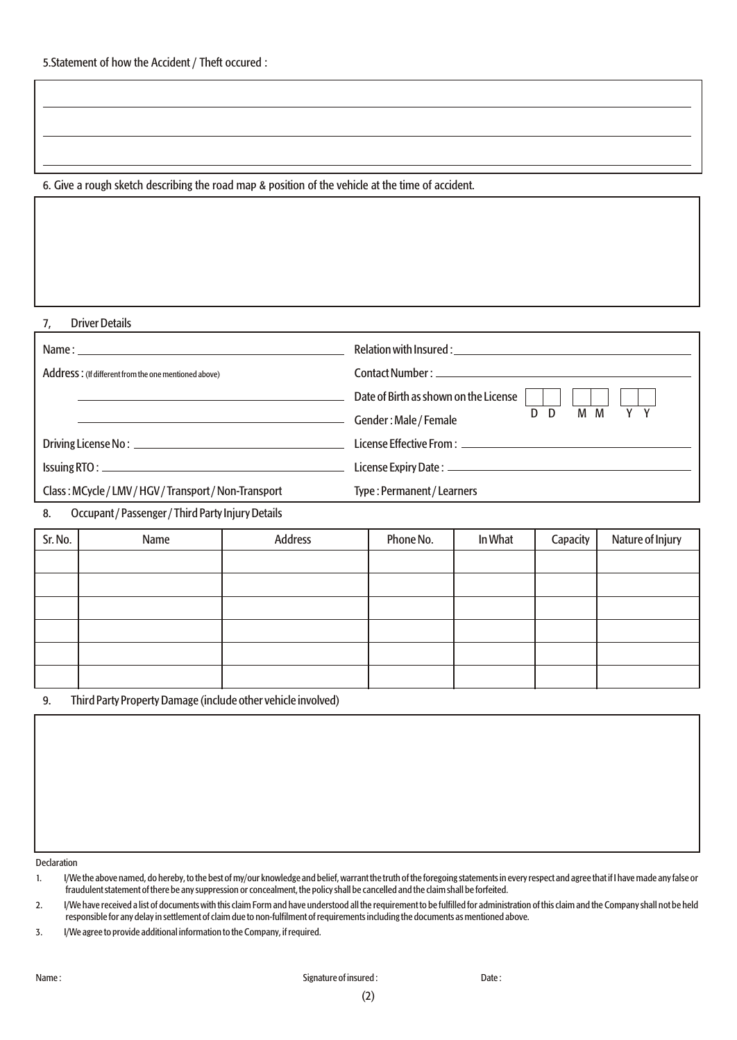### 6. Give a rough sketch describing the road map & position of the vehicle at the time of accident.

#### 7, Driver Details

| Name: when the contract of the contract of the contract of the contract of the contract of the contract of the contract of the contract of the contract of the contract of the contract of the contract of the contract of the |                                                |
|--------------------------------------------------------------------------------------------------------------------------------------------------------------------------------------------------------------------------------|------------------------------------------------|
| Address: (If different from the one mentioned above)                                                                                                                                                                           |                                                |
|                                                                                                                                                                                                                                | Date of Birth as shown on the License          |
|                                                                                                                                                                                                                                | M M<br>Y Y<br>D<br>D.<br>Gender: Male / Female |
|                                                                                                                                                                                                                                |                                                |
|                                                                                                                                                                                                                                |                                                |
| Class: MCycle/LMV/HGV/Transport/Non-Transport                                                                                                                                                                                  | Type: Permanent / Learners                     |

### 8. Occupant / Passenger / Third Party Injury Details

| Sr. No. | Name | Address | Phone No. | In What | Capacity | Nature of Injury |
|---------|------|---------|-----------|---------|----------|------------------|
|         |      |         |           |         |          |                  |
|         |      |         |           |         |          |                  |
|         |      |         |           |         |          |                  |
|         |      |         |           |         |          |                  |
|         |      |         |           |         |          |                  |
|         |      |         |           |         |          |                  |

#### 9. Third Party Property Damage (include other vehicle involved)

Declaration

1. I/We the above named, do hereby, to the best of my/our knowledge and belief, warrant the truth of the foregoing statements in every respect and agree that if I have made any false or fraudulent statement of there be any suppression or concealment, the policy shall be cancelled and the claim shall be forfeited.

2. I/We have received a list of documents with this claim Form and have understood all the requirement to be fulfilled for administration of this claim and the Company shall not be held responsible for any delay in settlement of claim due to non-fulfilment of requirements including the documents as mentioned above.

3. I/We agree to provide additional information to the Company, if required.